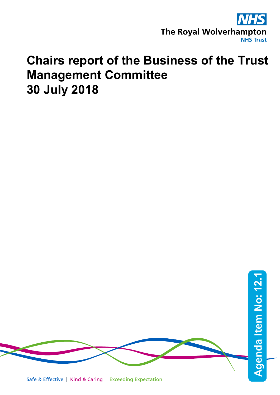

# **Chairs report of the Business of the Trust Management Committee 30 July 2018**

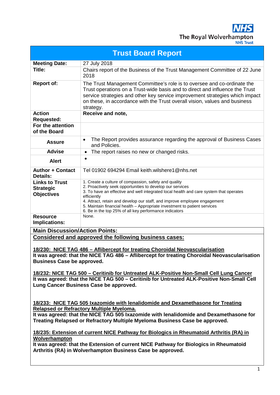**NHS** The Royal Wolverhampton

| <b>Trust Board Report</b>                                                                                                                                                                                                                                                                                                                                                                                                                                                                                                                                                      |                                                                                                                                                                                                                                                                                                                                                                                                                                                 |
|--------------------------------------------------------------------------------------------------------------------------------------------------------------------------------------------------------------------------------------------------------------------------------------------------------------------------------------------------------------------------------------------------------------------------------------------------------------------------------------------------------------------------------------------------------------------------------|-------------------------------------------------------------------------------------------------------------------------------------------------------------------------------------------------------------------------------------------------------------------------------------------------------------------------------------------------------------------------------------------------------------------------------------------------|
| <b>Meeting Date:</b>                                                                                                                                                                                                                                                                                                                                                                                                                                                                                                                                                           | 27 July 2018                                                                                                                                                                                                                                                                                                                                                                                                                                    |
| Title:                                                                                                                                                                                                                                                                                                                                                                                                                                                                                                                                                                         | Chairs report of the Business of the Trust Management Committee of 22 June<br>2018                                                                                                                                                                                                                                                                                                                                                              |
| <b>Report of:</b>                                                                                                                                                                                                                                                                                                                                                                                                                                                                                                                                                              | The Trust Management Committee's role is to oversee and co-ordinate the<br>Trust operations on a Trust-wide basis and to direct and influence the Trust<br>service strategies and other key service improvement strategies which impact<br>on these, in accordance with the Trust overall vision, values and business<br>strategy.                                                                                                              |
| <b>Action</b><br><b>Requested:</b>                                                                                                                                                                                                                                                                                                                                                                                                                                                                                                                                             | Receive and note,                                                                                                                                                                                                                                                                                                                                                                                                                               |
| For the attention<br>of the Board                                                                                                                                                                                                                                                                                                                                                                                                                                                                                                                                              |                                                                                                                                                                                                                                                                                                                                                                                                                                                 |
| <b>Assure</b>                                                                                                                                                                                                                                                                                                                                                                                                                                                                                                                                                                  | The Report provides assurance regarding the approval of Business Cases<br>$\bullet$<br>and Policies.                                                                                                                                                                                                                                                                                                                                            |
| <b>Advise</b>                                                                                                                                                                                                                                                                                                                                                                                                                                                                                                                                                                  | The report raises no new or changed risks.<br>$\bullet$                                                                                                                                                                                                                                                                                                                                                                                         |
| <b>Alert</b>                                                                                                                                                                                                                                                                                                                                                                                                                                                                                                                                                                   | $\bullet$                                                                                                                                                                                                                                                                                                                                                                                                                                       |
| <b>Author + Contact</b><br><b>Details:</b>                                                                                                                                                                                                                                                                                                                                                                                                                                                                                                                                     | Tel 01902 694294 Email keith.wilshere1@nhs.net                                                                                                                                                                                                                                                                                                                                                                                                  |
| <b>Links to Trust</b><br><b>Strategic</b><br><b>Objectives</b>                                                                                                                                                                                                                                                                                                                                                                                                                                                                                                                 | 1. Create a culture of compassion, safety and quality<br>2. Proactively seek opportunities to develop our services<br>3. To have an effective and well integrated local health and care system that operates<br>efficiently<br>4. Attract, retain and develop our staff, and improve employee engagement<br>5. Maintain financial health - Appropriate investment to patient services<br>6. Be in the top 25% of all key performance indicators |
| <b>Resource</b><br>Implications:                                                                                                                                                                                                                                                                                                                                                                                                                                                                                                                                               | None.                                                                                                                                                                                                                                                                                                                                                                                                                                           |
| <b>Main Discussion/Action Points:</b>                                                                                                                                                                                                                                                                                                                                                                                                                                                                                                                                          |                                                                                                                                                                                                                                                                                                                                                                                                                                                 |
| Considered and approved the following business cases:                                                                                                                                                                                                                                                                                                                                                                                                                                                                                                                          |                                                                                                                                                                                                                                                                                                                                                                                                                                                 |
| 18/230: NICE TAG 486 - Aflibercept for treating Choroidal Neovascularisation<br>It was agreed: that the NICE TAG 486 - Aflibercept for treating Choroidal Neovascularisation<br><b>Business Case be approved.</b><br>18/232: NICE TAG 500 – Ceritinib for Untreated ALK-Positive Non-Small Cell Lung Cancer<br>It was agreed: that the NICE TAG 500 - Ceritinib for Untreated ALK-Positive Non-Small Cell<br>Lung Cancer Business Case be approved.                                                                                                                            |                                                                                                                                                                                                                                                                                                                                                                                                                                                 |
| 18/233: NICE TAG 505 Ixazomide with lenalidomide and Dexamethasone for Treating<br><b>Relapsed or Refractory Multiple Myeloma.</b><br>It was agreed: that the NICE TAG 505 Ixazomide with lenalidomide and Dexamethasone for<br>Treating Relapsed or Refractory Multiple Myeloma Business Case be approved.<br>18/235: Extension of current NICE Pathway for Biologics in Rheumatoid Arthritis (RA) in<br>Wolverhampton<br>It was agreed: that the Extension of current NICE Pathway for Biologics in Rheumatoid<br>Arthritis (RA) in Wolverhampton Business Case be approved. |                                                                                                                                                                                                                                                                                                                                                                                                                                                 |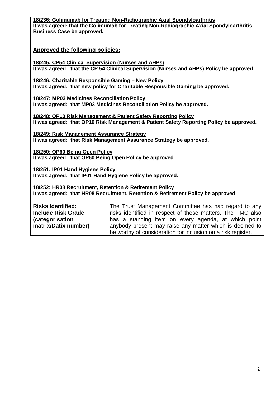# **18/236: Golimumab for Treating Non-Radiographic Axial Spondyloarthritis It was agreed: that the Golimumab for Treating Non-Radiographic Axial Spondyloarthritis Business Case be approved. Approved the following policies;**

**18/245: CP54 Clinical Supervision (Nurses and AHPs) It was agreed: that the CP 54 Clinical Supervision (Nurses and AHPs) Policy be approved.**

**18/246: Charitable Responsible Gaming – New Policy It was agreed: that new policy for Charitable Responsible Gaming be approved.**

**18/247: MP03 Medicines Reconciliation Policy It was agreed: that MP03 Medicines Reconciliation Policy be approved.**

**18/248: OP10 Risk Management & Patient Safety Reporting Policy It was agreed: that OP10 Risk Management & Patient Safety Reporting Policy be approved.**

**18/249: Risk Management Assurance Strategy It was agreed: that Risk Management Assurance Strategy be approved.**

**18/250: OP60 Being Open Policy It was agreed: that OP60 Being Open Policy be approved.**

**18/251: IP01 Hand Hygiene Policy It was agreed: that IP01 Hand Hygiene Policy be approved.**

**18/252: HR08 Recruitment, Retention & Retirement Policy It was agreed: that HR08 Recruitment, Retention & Retirement Policy be approved.**

**Risks Identified: Include Risk Grade (categorisation matrix/Datix number)** The Trust Management Committee has had regard to any risks identified in respect of these matters. The TMC also has a standing item on every agenda, at which point anybody present may raise any matter which is deemed to be worthy of consideration for inclusion on a risk register.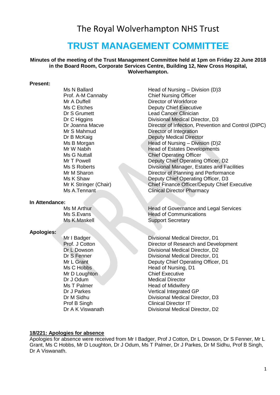# The Royal Wolverhampton NHS Trust

# **TRUST MANAGEMENT COMMITTEE**

**Minutes of the meeting of the Trust Management Committee held at 1pm on Friday 22 June 2018 in the Board Room, Corporate Services Centre, Building 12, New Cross Hospital, Wolverhampton.**

#### **Present:**

**In Attendance:**

#### **Apologies:**

Mr D Loughton Chief Executive Dr J Odum Medical Director

Ms N Ballard **Head of Nursing – Division (D)3** Prof. A-M Cannaby Chief Nursing Officer Mr A Duffell **Director of Workforce** Ms C Etches **Deputy Chief Executive** Dr S Grumett Lead Cancer Clinician Dr C Higgins **Divisional Medical Director**, D3 Dr Joanna Macve **Director of Infection, Prevention and Control (DIPC)**<br>Mr S Mahmud **Director of Integration** Director of Integration Dr B McKaig **Deputy Medical Director** Ms B Morgan  $\blacksquare$  Head of Nursing – Division (D)2 Mr W Nabih **Head of Estates Developments** Ms G Nuttall **Chief Operating Officer** Mr T Powell **Deputy Chief Operating Officer, D2**<br>Ms S Roberts **Divisional Manager, Estates and Fa** Divisional Manager, Estates and Facilities Mr M Sharon Director of Planning and Performance<br>Ms K Shaw Deputy Chief Operating Officer. D3 Deputy Chief Operating Officer, D3 Mr K Stringer (Chair) Chief Finance Officer/Deputy Chief Executive Ms A.Tennant Clinical Director Pharmacy

Ms M Arthur Head of Governance and Legal Services<br>Ms S Evans Head of Communications Ms K.Maskell Support Secretary

Mr I Badger **Divisional Medical Director, D1** Prof. J Cotton Director of Research and Development **Dr L Dowson** Divisional Medical Director, D2 **Dr S Fenner Communist Communist Communist Communist Communist Communist Communist Communist Communist Communist Communist Communist Communist Communist Communist Communist Communist Communist Communist Communist Communist** Mr L Grant **Deputy Chief Operating Officer, D1** Ms C Hobbs Head of Nursing, D1 Ms T Palmer **Manufather Head of Midwifery** Dr J Parkes Vertical Integrated GP Dr M Sidhu **Divisional Medical Director**, D3 Prof B Singh Clinical Director IT Dr A K Viswanath Divisional Medical Director, D2

#### **18/221: Apologies for absence**

Apologies for absence were received from Mr I Badger, Prof J Cotton, Dr L Dowson, Dr S Fenner, Mr L Grant, Ms C Hobbs, Mr D Loughton, Dr J Odum, Ms T Palmer, Dr J Parkes, Dr M Sidhu, Prof B Singh, Dr A Viswanath.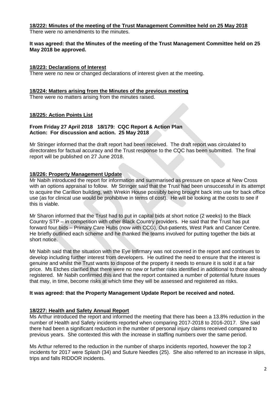# **18/222: Minutes of the meeting of the Trust Management Committee held on 25 May 2018**

There were no amendments to the minutes.

#### **It was agreed: that the Minutes of the meeting of the Trust Management Committee held on 25 May 2018 be approved.**

### **18/223: Declarations of Interest**

There were no new or changed declarations of interest given at the meeting.

#### **18/224: Matters arising from the Minutes of the previous meeting**

There were no matters arising from the minutes raised.

# **18/225: Action Points List**

#### **From Friday 27 April 2018 18/179: CQC Report & Action Plan Action: For discussion and action. 25 May 2018**

Mr Stringer informed that the draft report had been received. The draft report was circulated to directorates for factual accuracy and the Trust response to the CQC has been submitted. The final report will be published on 27 June 2018.

# **18/226: Property Management Update**

Mr Nabih introduced the report for information and summarised as pressure on space at New Cross with an options appraisal to follow. Mr Stringer said that the Trust had been unsuccessful in its attempt to acquire the Carillion building, with Wrekin House possibly being brought back into use for back office use (as for clinical use would be prohibitive in terms of cost). He will be looking at the costs to see if this is viable.

Mr Sharon informed that the Trust had to put in capital bids at short notice (2 weeks) to the Black Country STP – in competition with other Black Country providers. He said that the Trust has put forward four bids – Primary Care Hubs (now with CCG), Out-patients, West Park and Cancer Centre. He briefly outlined each scheme and he thanked the teams involved for putting together the bids at short notice.

Mr Nabih said that the situation with the Eye Infirmary was not covered in the report and continues to develop including further interest from developers. He outlined the need to ensure that the interest is genuine and whilst the Trust wants to dispose of the property it needs to ensure it is sold it at a fair price. Ms Etches clarified that there were no new or further risks identified in additional to those already registered. Mr Nabih confirmed this and that the report contained a number of potential future issues that may, in time, become risks at which time they will be assessed and registered as risks.

#### **It was agreed: that the Property Management Update Report be received and noted.**

#### **18/227: Health and Safety Annual Report**

Ms Arthur introduced the report and informed the meeting that there has been a 13.8% reduction in the number of Health and Safety incidents reported when comparing 2017-2018 to 2016-2017. She said there had been a significant reduction in the number of personal injury claims received compared to previous years. She contexted this with the increase in staffing numbers over the same period.

Ms Arthur referred to the reduction in the number of sharps incidents reported, however the top 2 incidents for 2017 were Splash (34) and Suture Needles (25). She also referred to an increase in slips, trips and falls RIDDOR incidents.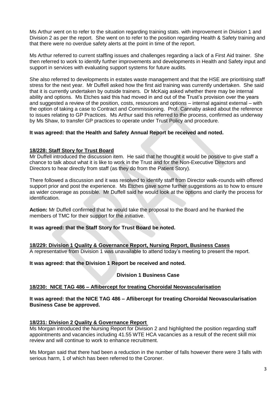Ms Arthur went on to refer to the situation regarding training stats. with improvement in Division 1 and Division 2 as per the report. She went on to refer to the position regarding Health & Safety training and that there were no overdue safety alerts at the point in time of the report.

Ms Arthur referred to current staffing issues and challenges regarding a lack of a First Aid trainer. She then referred to work to identify further improvements and developments in Health and Safety input and support in services with evaluating support systems for future audits.

She also referred to developments in estates waste management and that the HSE are prioritising staff stress for the next year. Mr Duffell asked how the first aid training was currently undertaken. She said that it is currently undertaken by outside trainers. Dr McKaig asked whether there may be internal ability and options. Ms Etches said this had moved in and out of the Trust's provision over the years and suggested a review of the position, costs, resources and options – internal against external – with the option of taking a case to Contract and Commissioning. Prof. Cannaby asked about the reference to issues relating to GP Practices. Ms Arthur said this referred to the process, confirmed as underway by Ms Shaw, to transfer GP practices to operate under Trust Policy and procedure.

#### **It was agreed: that the Health and Safety Annual Report be received and noted.**

# **18/228: Staff Story for Trust Board**

Mr Duffell introduced the discussion item. He said that he thought it would be positive to give staff a chance to talk about what it is like to work in the Trust and for the Non-Executive Directors and Directors to hear directly from staff (as they do from the Patient Story).

There followed a discussion and it was resolved to identify staff from Director walk-rounds with offered support prior and post the experience. Ms Etches gave some further suggestions as to how to ensure as wider coverage as possible. Mr Duffell said he would look at the options and clarify the process for identification.

**Action:** Mr Duffell confirmed that he would take the proposal to the Board and he thanked the members of TMC for their support for the initiative.

#### **It was agreed: that the Staff Story for Trust Board be noted.**

**18/229: Division 1 Quality & Governance Report, Nursing Report, Business Cases**  A representative from Division 1 was unavailable to attend today's meeting to present the report.

**It was agreed: that the Division 1 Report be received and noted.**

**Division 1 Business Case**

#### **18/230: NICE TAG 486 – Aflibercept for treating Choroidal Neovascularisation**

**It was agreed: that the NICE TAG 486 – Aflibercept for treating Choroidal Neovascularisation Business Case be approved.**

#### **18/231: Division 2 Quality & Governance Report**

Ms Morgan introduced the Nursing Report for Division 2 and highlighted the position regarding staff appointments and vacancies including 41.55 WTE HCA vacancies as a result of the recent skill mix review and will continue to work to enhance recruitment.

Ms Morgan said that there had been a reduction in the number of falls however there were 3 falls with serious harm, 1 of which has been referred to the Coroner.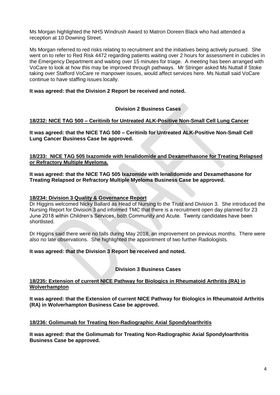Ms Morgan highlighted the NHS Windrush Award to Matron Doreen Black who had attended a reception at 10 Downing Street.

Ms Morgan referred to red risks relating to recruitment and the initiatives being actively pursued. She went on to refer to Red Risk 4472 regarding patients waiting over 2 hours for assessment in cubicles in the Emergency Department and waiting over 15 minutes for triage. A meeting has been arranged with VoCare to look at how this may be improved through pathways. Mr Stringer asked Ms Nuttall if Stoke taking over Stafford VoCare re manpower issues, would affect services here. Ms Nuttall said VoCare continue to have staffing issues locally.

# **It was agreed: that the Division 2 Report be received and noted.**

# **Division 2 Business Cases**

# **18/232: NICE TAG 500 – Ceritinib for Untreated ALK-Positive Non-Small Cell Lung Cancer**

**It was agreed: that the NICE TAG 500 – Ceritinib for Untreated ALK-Positive Non-Small Cell Lung Cancer Business Case be approved.**

**18/233: NICE TAG 505 Ixazomide with lenalidomide and Dexamethasone for Treating Relapsed or Refractory Multiple Myeloma.**

**It was agreed: that the NICE TAG 505 Ixazomide with lenalidomide and Dexamethasone for Treating Relapsed or Refractory Multiple Myeloma Business Case be approved.**

#### **18/234: Division 3 Quality & Governance Report**

Dr Higgins welcomed Nicky Ballard as Head of Nursing to the Trust and Division 3. She introduced the Nursing Report for Division 3 and informed TMC that there is a recruitment open day planned for 23 June 2018 within Children's Services, both Community and Acute. Twenty candidates have been shortlisted.

Dr Higgins said there were no falls during May 2018, an improvement on previous months. There were also no late observations. She highlighted the appointment of two further Radiologists.

#### **It was agreed: that the Division 3 Report be received and noted.**

# **Division 3 Business Cases**

#### **18/235: Extension of current NICE Pathway for Biologics in Rheumatoid Arthritis (RA) in Wolverhampton**

**It was agreed: that the Extension of current NICE Pathway for Biologics in Rheumatoid Arthritis (RA) in Wolverhampton Business Case be approved.**

#### **18/236: Golimumab for Treating Non-Radiographic Axial Spondyloarthritis**

**It was agreed: that the Golimumab for Treating Non-Radiographic Axial Spondyloarthritis Business Case be approved.**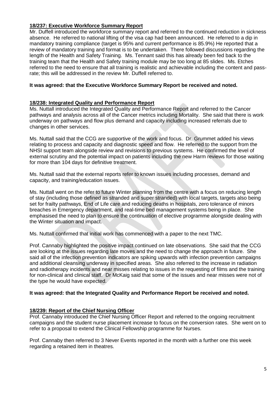# **18/237: Executive Workforce Summary Report**

Mr. Duffell introduced the workforce summary report and referred to the continued reduction in sickness absence. He referred to national lifting of the visa cap had been announced. He referred to a dip in mandatory training compliance (target is 95% and current performance is 85.9%) He reported that a review of mandatory training and format is to be undertaken. There followed discussions regarding the length of the Health and Safety Training. Ms. Tennant said this has already been fed back to the training team that the Health and Safety training module may be too long at 85 slides. Ms. Etches referred to the need to ensure that all training is realistic and achievable including the content and passrate; this will be addressed in the review Mr. Duffell referred to.

#### **It was agreed: that the Executive Workforce Summary Report be received and noted.**

#### **18/238: Integrated Quality and Performance Report**

Ms. Nuttall introduced the Integrated Quality and Performance Report and referred to the Cancer pathways and analysis across all of the Cancer metrics including Mortality. She said that there is work underway on pathways and flow plus demand and capacity including increased referrals due to changes in other services.

Ms. Nuttall said that the CCG are supportive of the work and focus. Dr. Grummet added his views relating to process and capacity and diagnostic speed and flow. He referred to the support from the NHSI support team alongside review and revisions to previous systems. He confirmed the level of external scrutiny and the potential impact on patients including the new Harm reviews for those waiting for more than 104 days for definitive treatment.

Ms. Nuttall said that the external reports refer to known issues including processes, demand and capacity, and training/education issues.

Ms. Nuttall went on the refer to future Winter planning from the centre with a focus on reducing length of stay (including those defined as stranded and super stranded) with local targets, targets also being set for frailty pathways, End of Life care and reducing deaths in hospitals, zero tolerance of minors breaches in Emergency department, and real-time bed management systems being in place. She emphasised the need to plan to ensure the continuation of elective programme alongside dealing with the Winter situation and impact.

Ms. Nuttall confirmed that initial work has commenced with a paper to the next TMC.

Prof. Cannaby highlighted the positive impact continued on late observations. She said that the CCG are looking at the issues regarding late moves and the need to change the approach in future. She said all of the infection prevention indicators are spiking upwards with infection prevention campaigns and additional cleansing underway in specified areas. She also referred to the increase in radiation and radiotherapy incidents and near misses relating to issues in the requesting of films and the training for non-clinical and clinical staff. Dr McKaig said that some of the issues and near misses were not of the type he would have expected.

#### **It was agreed: that the Integrated Quality and Performance Report be received and noted.**

#### **18/239: Report of the Chief Nursing Officer**

Prof. Cannaby introduced the Chief Nursing Officer Report and referred to the ongoing recruitment campaigns and the student nurse placement increase to focus on the conversion rates. She went on to refer to a proposal to extend the Clinical Fellowship programme for Nurses.

Prof. Cannaby then referred to 3 Never Events reported in the month with a further one this week regarding a retained item in theatres.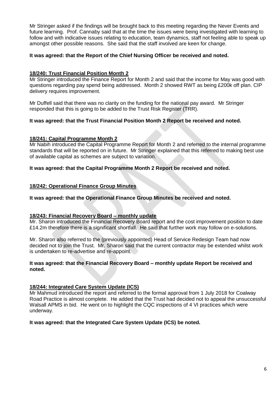Mr Stringer asked if the findings will be brought back to this meeting regarding the Never Events and future learning. Prof. Cannaby said that at the time the issues were being investigated with learning to follow and with indicative issues relating to education, team dynamics, staff not feeling able to speak up amongst other possible reasons. She said that the staff involved are keen for change.

### **It was agreed: that the Report of the Chief Nursing Officer be received and noted.**

# **18/240: Trust Financial Position Month 2**

Mr Stringer introduced the Finance Report for Month 2 and said that the income for May was good with questions regarding pay spend being addressed. Month 2 showed RWT as being £200k off plan. CIP delivery requires improvement.

Mr Duffell said that there was no clarity on the funding for the national pay award. Mr Stringer responded that this is going to be added to the Trust Risk Register (TRR).

# **It was agreed: that the Trust Financial Position Month 2 Report be received and noted.**

#### **18/241: Capital Programme Month 2**

Mr Nabih introduced the Capital Programme Report for Month 2 and referred to the internal programme standards that will be reported on in future. Mr Stringer explained that this referred to making best use of available capital as schemes are subject to variation.

**It was agreed: that the Capital Programme Month 2 Report be received and noted.**

#### **18/242: Operational Finance Group Minutes**

**It was agreed: that the Operational Finance Group Minutes be received and noted.**

#### **18/243: Financial Recovery Board – monthly update**

Mr. Sharon introduced the Financial Recovery Board report and the cost improvement position to date £14.2m therefore there is a significant shortfall. He said that further work may follow on e-solutions.

Mr. Sharon also referred to the (previously appointed) Head of Service Redesign Team had now decided not to join the Trust. Mr. Sharon said that the current contractor may be extended whilst work is undertaken to re-advertise and re-appoint.

#### **It was agreed: that the Financial Recovery Board – monthly update Report be received and noted.**

#### **18/244: Integrated Care System Update (ICS)**

Mr Mahmud introduced the report and referred to the formal approval from 1 July 2018 for Coalway Road Practice is almost complete. He added that the Trust had decided not to appeal the unsuccessful Walsall APMS in bid. He went on to highlight the CQC inspections of 4 VI practices which were underway.

#### **It was agreed: that the Integrated Care System Update (ICS) be noted.**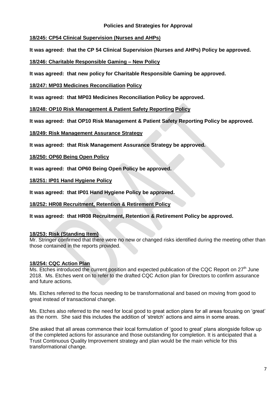# **Policies and Strategies for Approval**

# **18/245: CP54 Clinical Supervision (Nurses and AHPs)**

**It was agreed: that the CP 54 Clinical Supervision (Nurses and AHPs) Policy be approved.**

# **18/246: Charitable Responsible Gaming – New Policy**

**It was agreed: that new policy for Charitable Responsible Gaming be approved.**

# **18/247: MP03 Medicines Reconciliation Policy**

**It was agreed: that MP03 Medicines Reconciliation Policy be approved.**

**18/248: OP10 Risk Management & Patient Safety Reporting Policy**

**It was agreed: that OP10 Risk Management & Patient Safety Reporting Policy be approved.**

# **18/249: Risk Management Assurance Strategy**

**It was agreed: that Risk Management Assurance Strategy be approved.**

# **18/250: OP60 Being Open Policy**

**It was agreed: that OP60 Being Open Policy be approved.**

**18/251: IP01 Hand Hygiene Policy** 

**It was agreed: that IP01 Hand Hygiene Policy be approved.**

# **18/252: HR08 Recruitment, Retention & Retirement Policy**

**It was agreed: that HR08 Recruitment, Retention & Retirement Policy be approved.**

# **18/253: Risk (Standing Item)**

Mr. Stringer confirmed that there were no new or changed risks identified during the meeting other than those contained in the reports provided.

# **18/254: CQC Action Plan**

Ms. Etches introduced the current position and expected publication of the CQC Report on 27<sup>th</sup> June 2018. Ms. Etches went on to refer to the drafted CQC Action plan for Directors to confirm assurance and future actions.

Ms. Etches referred to the focus needing to be transformational and based on moving from good to great instead of transactional change.

Ms. Etches also referred to the need for local good to great action plans for all areas focusing on 'great' as the norm. She said this includes the addition of 'stretch' actions and aims in some areas.

She asked that all areas commence their local formulation of 'good to great' plans alongside follow up of the completed actions for assurance and those outstanding for completion. It is anticipated that a Trust Continuous Quality Improvement strategy and plan would be the main vehicle for this transformational change.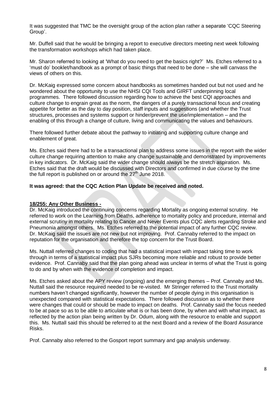It was suggested that TMC be the oversight group of the action plan rather a separate 'CQC Steering Group'.

Mr. Duffell said that he would be bringing a report to executive directors meeting next week following the transformation workshops which had taken place.

Mr. Sharon referred to looking at 'What do you need to get the basics right?' Ms. Etches referred to a 'must do' booklet/handbook as a prompt of basic things that need to be done – she will canvass the views of others on this.

Dr. McKaig expressed some concern about handbooks as sometimes handed out but not used and he wondered about the opportunity to use the NHSI CQI Tools and GIRFT underpinning local programmes. There followed discussion regarding how to achieve the best CQI approaches and culture change to engrain great as the norm, the dangers of a purely transactional focus and creating appetite for better as the day to day position, staff inputs and suggestions (and whether the Trust structures, processes and systems support or hinder/prevent the use/implementation – and the enabling of this through a change of culture, living and communicating the values and behaviours.

There followed further debate about the pathway to initiating and supporting culture change and enablement of great.

Ms. Etches said there had to be a transactional plan to address some issues in the report with the wider culture change requiring attention to make any change sustainable and demonstrated by improvements in key indicators. Dr. McKaig said the wider change should always be the stretch aspiration. Ms. Etches said that the draft would be discussed with Directors and confirmed in due course by the time the full report is published on or around the  $27<sup>th</sup>$  June 2018.

#### **It was agreed: that the CQC Action Plan Update be received and noted.**

#### **18/255: Any Other Business -**

Dr. McKaig introduced the continuing concerns regarding Mortality as ongoing external scrutiny. He referred to work on the Learning from Deaths, adherence to mortality policy and procedure, internal and external scrutiny in mortality relating to Cancer and Never Events plus CQC alerts regarding Stroke and Pneumonia amongst others. Ms. Etches referred to the potential impact of any further CQC review. Dr. McKaig said the issues are not new but not improving. Prof. Cannaby referred to the impact on reputation for the organisation and therefore the top concern for the Trust Board.

Ms. Nuttall referred changes to coding that had a statistical impact with impact taking time to work through in terms of a statistical impact plus SJRs becoming more reliable and robust to provide better evidence. Prof. Cannaby said that the plan going ahead was unclear in terms of what the Trust is going to do and by when with the evidence of completion and impact.

Ms. Etches asked about the APY review (ongoing) and the emerging themes – Prof. Cannaby and Ms. Nuttall said the resource required needed to be re-visited. Mr Stringer referred to the Trust mortality numbers haven't changed significantly, however the number of people dying in this organisation is unexpected compared with statistical expectations. There followed discussion as to whether there were changes that could or should be made to impact on deaths. Prof. Cannaby said the focus needed to be at pace so as to be able to articulate what is or has been done, by when and with what impact, as reflected by the action plan being written by Dr. Odum, along with the resource to enable and support this. Ms. Nuttall said this should be referred to at the next Board and a review of the Board Assurance Risks.

Prof. Cannaby also referred to the Gosport report summary and gap analysis underway.